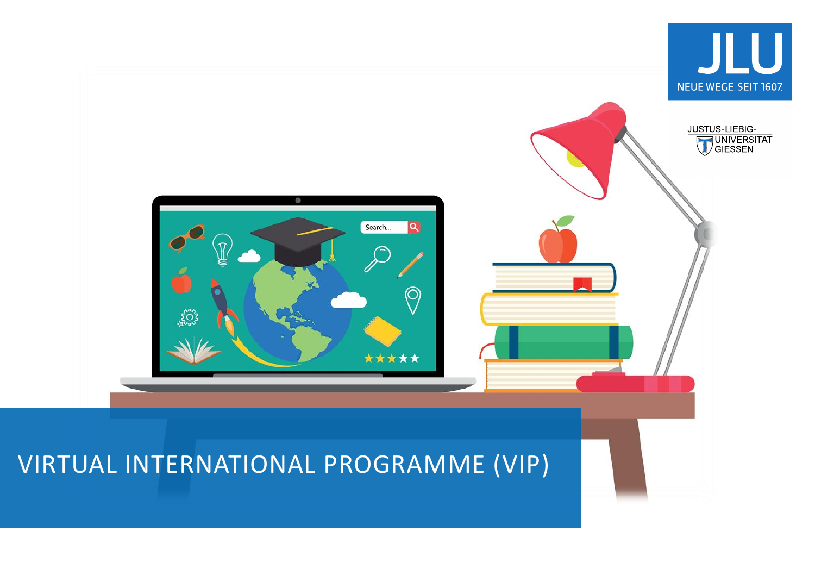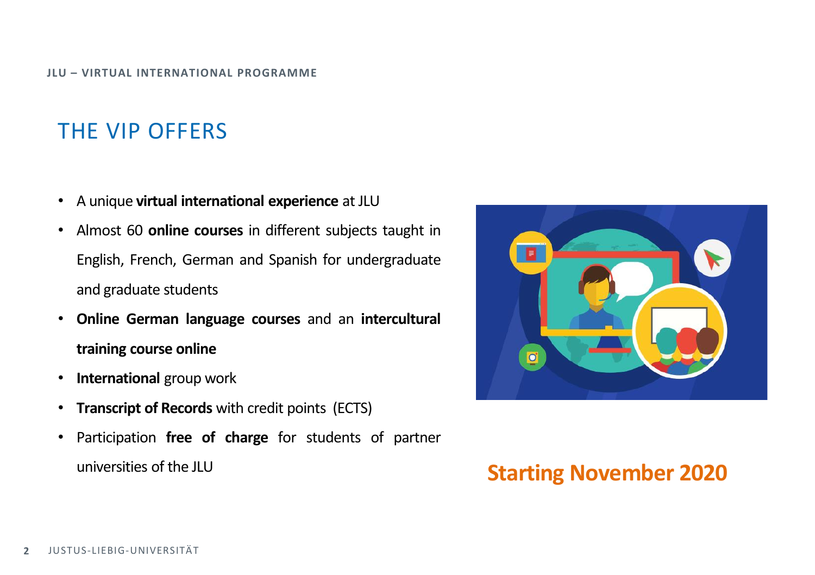# THE VIP OFFERS

- A unique **virtual international experience** at JLU
- Almost 60 **online courses** in different subjects taught in English, French, German and Spanish for undergraduate and graduate students
- **Online German language courses** and an **intercultural training course online**
- **International** group work
- **Transcript of Records** with credit points (ECTS)
- Participation **free of charge** for students of partner universities of the JLU **Starting November 2020**

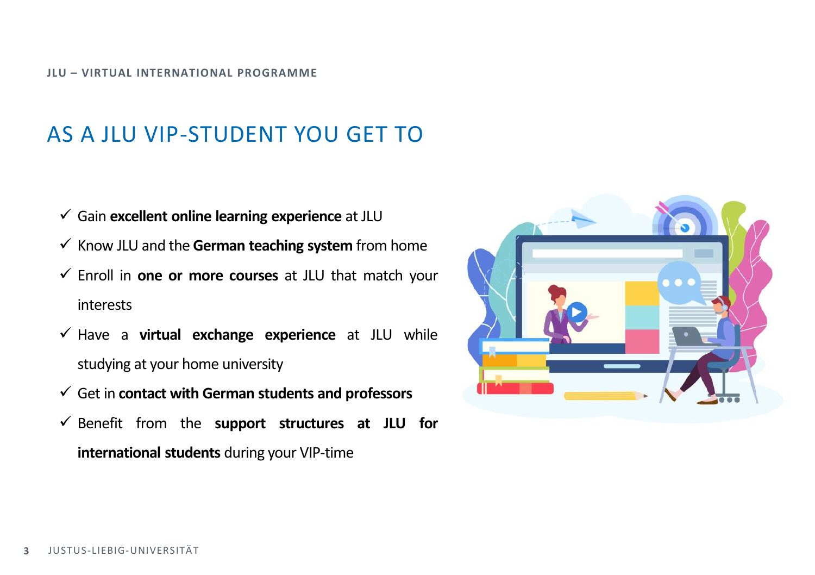#### **JLU – VIRTUAL INTERNATIONAL PROGRAMME**

# AS A JLU VIP-STUDENT YOU GET TO

- Gain **excellent online learning experience** at JLU
- $\checkmark$  Know JLU and the German teaching system from home
- Enroll in **one or more courses** at JLU that match your interests
- Have a **virtual exchange experience** at JLU while studying at your home university
- Get in **contact with German students and professors**
- $\checkmark$  Benefit from the **support** structures at JLU for **international students** during your VIP-time

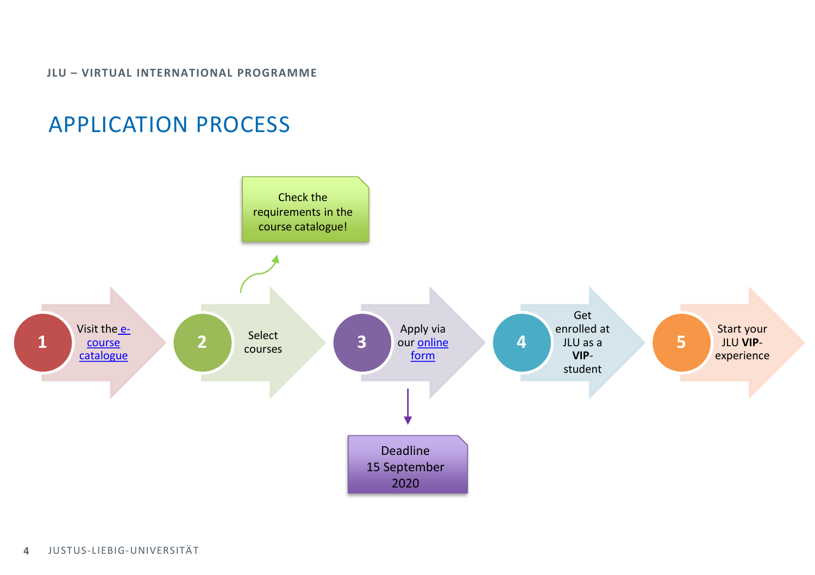**JLU – VIRTUAL INTERNATIONAL PROGRAMME**

## APPLICATION PROCESS



**4** JUSTUS-LIEBIG-UNIVERSITÄT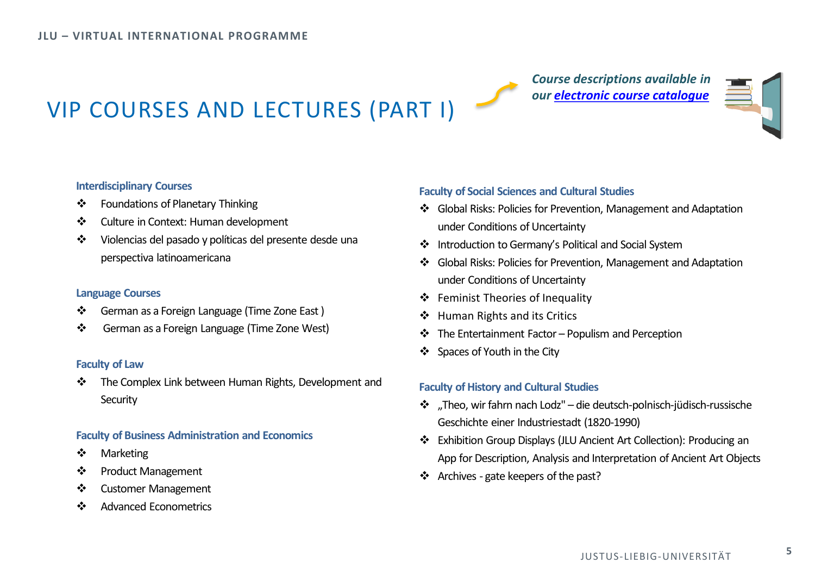### *Course descriptions available in our [electronic course](http://www.uni-giessen.de/vip) catalogue*



# VIP COURSES AND LECTURES (PART I)

#### **Interdisciplinary Courses**

- Foundations of Planetary Thinking
- ❖ Culture in Context: Human development
- Violencias del pasado y políticas del presente desde una perspectiva latinoamericana

#### **Language Courses**

- German as a Foreign Language (Time Zone East )
- German as a Foreign Language (Time Zone West)

#### **Faculty of Law**

\* The Complex Link between Human Rights, Development and **Security** 

#### **Faculty of Business Administration and Economics**

- ❖ Marketing
- ❖ Product Management
- Customer Management
- ❖ Advanced Econometrics

#### **Faculty of Social Sciences and Cultural Studies**

- Global Risks: Policies for Prevention, Management and Adaptation under Conditions of Uncertainty
- Introduction to Germany's Political and Social System
- Global Risks: Policies for Prevention, Management and Adaptation under Conditions of Uncertainty
- Feminist Theories of Inequality
- ❖ Human Rights and its Critics
- $\cdot \cdot$  The Entertainment Factor Populism and Perception
- Spaces of Youth in the City

#### **Faculty of History and Cultural Studies**

- \* "Theo, wir fahrn nach Lodz" die deutsch-polnisch-jüdisch-russische Geschichte einer Industriestadt (1820-1990)
- Exhibition Group Displays (JLU Ancient Art Collection): Producing an App for Description, Analysis and Interpretation of Ancient Art Objects
- ❖ Archives gate keepers of the past?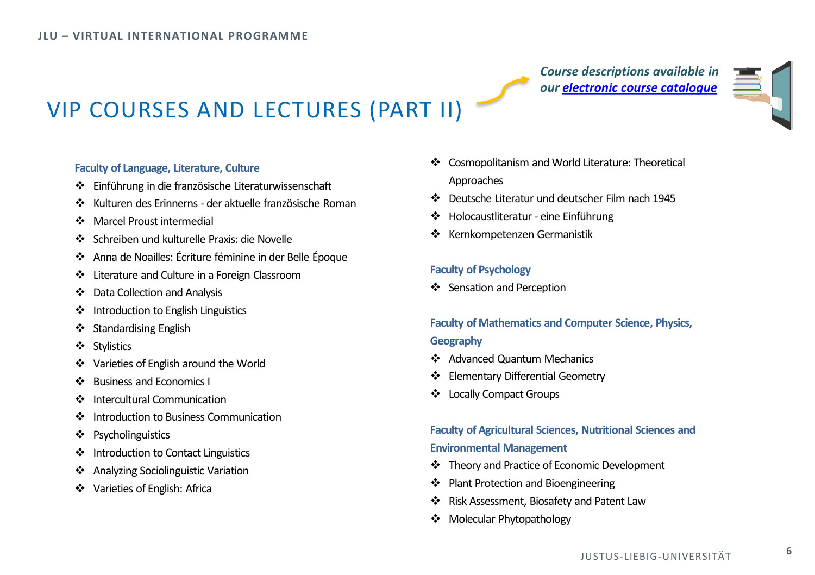*Course descriptions available in our [electronic course](http://www.uni-giessen.de/vip) catalogue*



# VIP COURSES AND LECTURES (PART II)

### **Faculty of Language, Literature, Culture**

- Einführung in die französische Literaturwissenschaft
- Kulturen des Erinnerns der aktuelle französische Roman
- Marcel Proust intermedial
- Schreiben und kulturelle Praxis: die Novelle
- Anna de Noailles: Écriture féminine in der Belle Époque
- Literature and Culture in a Foreign Classroom
- Data Collection and Analysis
- $\triangleleft$  Introduction to English Linguistics
- ❖ Standardising English
- ❖ Stylistics
- Varieties of English around the World
- ❖ Business and Economics I
- $\cdot$  Intercultural Communication
- $\bullet$  Introduction to Business Communication
- ❖ Psycholinguistics
- ❖ Introduction to Contact Linguistics
- Analyzing Sociolinguistic Variation
- Varieties of English: Africa
- Cosmopolitanism and World Literature: Theoretical Approaches
- **Deutsche Literatur und deutscher Film nach 1945**
- Holocaustliteratur eine Einführung
- Kernkompetenzen Germanistik

#### **Faculty of Psychology**

❖ Sensation and Perception

### **Faculty of Mathematics and Computer Science, Physics, Geography**

- ❖ Advanced Quantum Mechanics
- Elementary Differential Geometry
- ❖ Locally Compact Groups

### **Faculty of Agricultural Sciences, Nutritional Sciences and Environmental Management**

- \* Theory and Practice of Economic Development
- ❖ Plant Protection and Bioengineering
- Risk Assessment, Biosafety and Patent Law
- ◆ Molecular Phytopathology